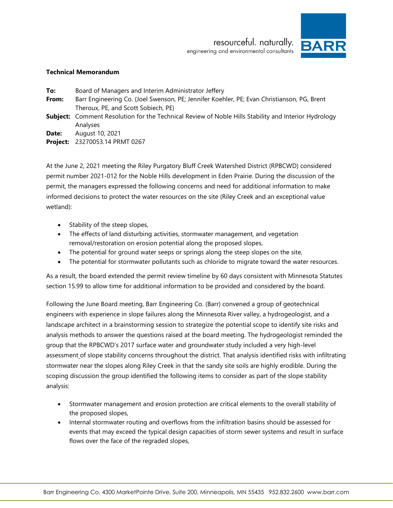resourceful. naturally. engineering and environmental consultants



#### <span id="page-0-0"></span>**Technical Memorandum**

- **To:** Board of Managers and Interim Administrator Jeffery
- <span id="page-0-1"></span>**From:** Barr Engineering Co. (Joel Swenson, PE; Jennifer Koehler, PE; Evan Christianson, PG, Brent Theroux, PE, and Scott Sobiech, PE)
- <span id="page-0-2"></span>**Subject:** Comment Resolution for the Technical Review of Noble Hills Stability and Interior Hydrology Analyses

<span id="page-0-3"></span>**Date:** August 10, 2021

**Project:** 23270053.14 PRMT 0267

At the June 2, 2021 meeting the Riley Purgatory Bluff Creek Watershed District (RPBCWD) considered permit number 2021-012 for the Noble Hills development in Eden Prairie. During the discussion of the permit, the managers expressed the following concerns and need for additional information to make informed decisions to protect the water resources on the site (Riley Creek and an exceptional value wetland):

- Stability of the steep slopes,
- The effects of land disturbing activities, stormwater management, and vegetation removal/restoration on erosion potential along the proposed slopes,
- The potential for ground water seeps or springs along the steep slopes on the site,
- The potential for stormwater pollutants such as chloride to migrate toward the water resources.

As a result, the board extended the permit review timeline by 60 days consistent with Minnesota Statutes section 15.99 to allow time for additional information to be provided and considered by the board.

Following the June Board meeting, Barr Engineering Co. (Barr) convened a group of geotechnical engineers with experience in slope failures along the Minnesota River valley, a hydrogeologist, and a landscape architect in a brainstorming session to strategize the potential scope to identify site risks and analysis methods to answer the questions raised at the board meeting. The hydrogeologist reminded the group that the RPBCWD's 2017 surface water and groundwater study included a very high-level assessment of slope stability concerns throughout the district. That analysis identified risks with infiltrating stormwater near the slopes along Riley Creek in that the sandy site soils are highly erodible. During the scoping discussion the group identified the following items to consider as part of the slope stability analysis:

- Stormwater management and erosion protection are critical elements to the overall stability of the proposed slopes,
- Internal stormwater routing and overflows from the infiltration basins should be assessed for events that may exceed the typical design capacities of storm sewer systems and result in surface flows over the face of the regraded slopes,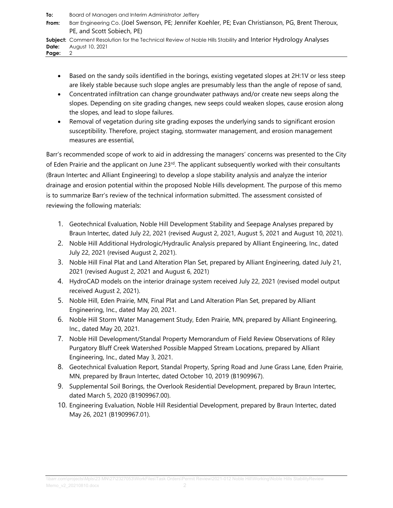| To:<br>From:   | Board of Managers and Interim Administrator Jeffery<br>Barr Engineering Co. (Joel Swenson, PE; Jennifer Koehler, PE; Evan Christianson, PG, Brent Theroux,<br>PE, and Scott Sobiech, PE) |
|----------------|------------------------------------------------------------------------------------------------------------------------------------------------------------------------------------------|
| Date:<br>Page: | <b>Subject:</b> Comment Resolution for the Technical Review of Noble Hills Stability and Interior Hydrology Analyses<br>August 10, 2021<br>2                                             |

- Based on the sandy soils identified in the borings, existing vegetated slopes at 2H:1V or less steep are likely stable because such slope angles are presumably less than the angle of repose of sand,
- Concentrated infiltration can change groundwater pathways and/or create new seeps along the slopes. Depending on site grading changes, new seeps could weaken slopes, cause erosion along the slopes, and lead to slope failures.
- Removal of vegetation during site grading exposes the underlying sands to significant erosion susceptibility. Therefore, project staging, stormwater management, and erosion management measures are essential,

Barr's recommended scope of work to aid in addressing the managers' concerns was presented to the City of Eden Prairie and the applicant on June  $23<sup>rd</sup>$ . The applicant subsequently worked with their consultants (Braun Intertec and Alliant Engineering) to develop a slope stability analysis and analyze the interior drainage and erosion potential within the proposed Noble Hills development. The purpose of this memo is to summarize Barr's review of the technical information submitted. The assessment consisted of reviewing the following materials:

- 1. Geotechnical Evaluation, Noble Hill Development Stability and Seepage Analyses prepared by Braun Intertec, dated July 22, 2021 (revised August 2, 2021, August 5, 2021 and August 10, 2021).
- 2. Noble Hill Additional Hydrologic/Hydraulic Analysis prepared by Alliant Engineering, Inc., dated July 22, 2021 (revised August 2, 2021).
- 3. Noble Hill Final Plat and Land Alteration Plan Set, prepared by Alliant Engineering, dated July 21, 2021 (revised August 2, 2021 and August 6, 2021)
- 4. HydroCAD models on the interior drainage system received July 22, 2021 (revised model output received August 2, 2021).
- 5. Noble Hill, Eden Prairie, MN, Final Plat and Land Alteration Plan Set, prepared by Alliant Engineering, Inc., dated May 20, 2021.
- 6. Noble Hill Storm Water Management Study, Eden Prairie, MN, prepared by Alliant Engineering, Inc., dated May 20, 2021.
- 7. Noble Hill Development/Standal Property Memorandum of Field Review Observations of Riley Purgatory Bluff Creek Watershed Possible Mapped Stream Locations, prepared by Alliant Engineering, Inc., dated May 3, 2021.
- 8. Geotechnical Evaluation Report, Standal Property, Spring Road and June Grass Lane, Eden Prairie, MN, prepared by Braun Intertec, dated October 10, 2019 (B1909967).
- 9. Supplemental Soil Borings, the Overlook Residential Development, prepared by Braun Intertec, dated March 5, 2020 (B1909967.00).
- 10. Engineering Evaluation, Noble Hill Residential Development, prepared by Braun Intertec, dated May 26, 2021 (B1909967.01).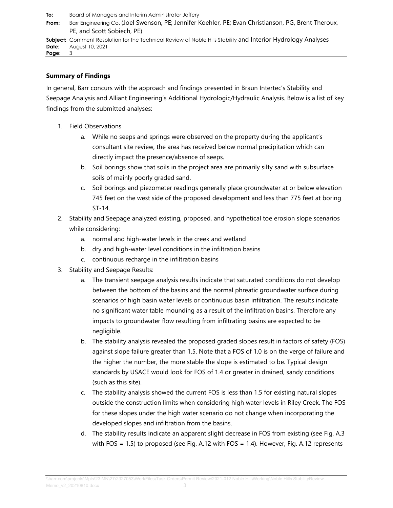**From:** Barr Engineering Co. [\(Joel Swenson, PE; Jennifer Koehler, PE; Evan](#page-0-1) Christianson, PG, Brent Therou[x,](#page-0-1)  PE, [and Scott Sobiech, PE\)](#page-0-1) **Subject:** [Comment Resolution for the Technical Review of](#page-0-2) Noble Hills Stability and Interior Hydrology Analyse[s](#page-0-2) **Date:** [August 10, 2021](#page-0-3) **Page:** 3

### **Summary of Findings**

In general, Barr concurs with the approach and findings presented in Braun Intertec's Stability and Seepage Analysis and Alliant Engineering's Additional Hydrologic/Hydraulic Analysis. Below is a list of key findings from the submitted analyses:

- 1. Field Observations
	- a. While no seeps and springs were observed on the property during the applicant's consultant site review, the area has received below normal precipitation which can directly impact the presence/absence of seeps.
	- b. Soil borings show that soils in the project area are primarily silty sand with subsurface soils of mainly poorly graded sand.
	- c. Soil borings and piezometer readings generally place groundwater at or below elevation 745 feet on the west side of the proposed development and less than 775 feet at boring ST-14.
- 2. Stability and Seepage analyzed existing, proposed, and hypothetical toe erosion slope scenarios while considering:
	- a. normal and high-water levels in the creek and wetland
	- b. dry and high-water level conditions in the infiltration basins
	- c. continuous recharge in the infiltration basins
- 3. Stability and Seepage Results:
	- a. The transient seepage analysis results indicate that saturated conditions do not develop between the bottom of the basins and the normal phreatic groundwater surface during scenarios of high basin water levels or continuous basin infiltration. The results indicate no significant water table mounding as a result of the infiltration basins. Therefore any impacts to groundwater flow resulting from infiltrating basins are expected to be negligible.
	- b. The stability analysis revealed the proposed graded slopes result in factors of safety (FOS) against slope failure greater than 1.5. Note that a FOS of 1.0 is on the verge of failure and the higher the number, the more stable the slope is estimated to be. Typical design standards by USACE would look for FOS of 1.4 or greater in drained, sandy conditions (such as this site).
	- c. The stability analysis showed the current FOS is less than 1.5 for existing natural slopes outside the construction limits when considering high water levels in Riley Creek. The FOS for these slopes under the high water scenario do not change when incorporating the developed slopes and infiltration from the basins.
	- d. The stability results indicate an apparent slight decrease in FOS from existing (see Fig. A.3 with FOS = 1.5) to proposed (see Fig. A.12 with FOS = 1.4). However, Fig. A.12 represents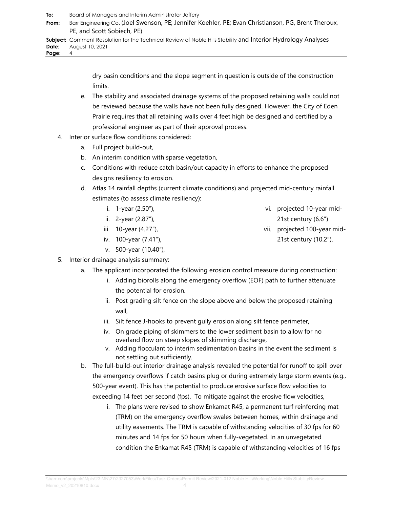**From:** Barr Engineering Co. [\(Joel Swenson, PE; Jennifer Koehler, PE; Evan](#page-0-1) Christianson, PG, Brent Therou[x,](#page-0-1)  PE, [and Scott Sobiech, PE\)](#page-0-1) **Subject:** [Comment Resolution for the Technical Review of](#page-0-2) Noble Hills Stability and Interior Hydrology Analyse[s](#page-0-2)

**Date:** [August 10, 2021](#page-0-3)

**Page:** 4

dry basin conditions and the slope segment in question is outside of the construction limits.

- e. The stability and associated drainage systems of the proposed retaining walls could not be reviewed because the walls have not been fully designed. However, the City of Eden Prairie requires that all retaining walls over 4 feet high be designed and certified by a professional engineer as part of their approval process.
- 4. Interior surface flow conditions considered:
	- a. Full project build-out,
	- b. An interim condition with sparse vegetation,
	- c. Conditions with reduce catch basin/out capacity in efforts to enhance the proposed designs resiliency to erosion.
	- d. Atlas 14 rainfall depths (current climate conditions) and projected mid-century rainfall estimates (to assess climate resiliency):
		- i. 1-year (2.50"),
		- ii. 2-year (2.87"),
		- iii. 10-year (4.27"),
		- iv. 100-year (7.41"),
		- v. 500-year (10.40"),
- 5. Interior drainage analysis summary:
	- a. The applicant incorporated the following erosion control measure during construction:
		- i. Adding biorolls along the emergency overflow (EOF) path to further attenuate the potential for erosion.
		- ii. Post grading silt fence on the slope above and below the proposed retaining wall,
		- iii. Silt fence J-hooks to prevent gully erosion along silt fence perimeter,
		- iv. On grade piping of skimmers to the lower sediment basin to allow for no overland flow on steep slopes of skimming discharge,
		- v. Adding flocculant to interim sedimentation basins in the event the sediment is not settling out sufficiently.
	- b. The full-build-out interior drainage analysis revealed the potential for runoff to spill over the emergency overflows if catch basins plug or during extremely large storm events (e.g., 500-year event). This has the potential to produce erosive surface flow velocities to exceeding 14 feet per second (fps). To mitigate against the erosive flow velocities,
		- i. The plans were revised to show Enkamat R45, a permanent turf reinforcing mat (TRM) on the emergency overflow swales between homes, within drainage and utility easements. The TRM is capable of withstanding velocities of 30 fps for 60 minutes and 14 fps for 50 hours when fully-vegetated. In an unvegetated condition the Enkamat R45 (TRM) is capable of withstanding velocities of 16 fps
- vi. projected 10-year mid-
	- 21st century (6.6")
- vii. projected 100-year mid-21st century (10.2").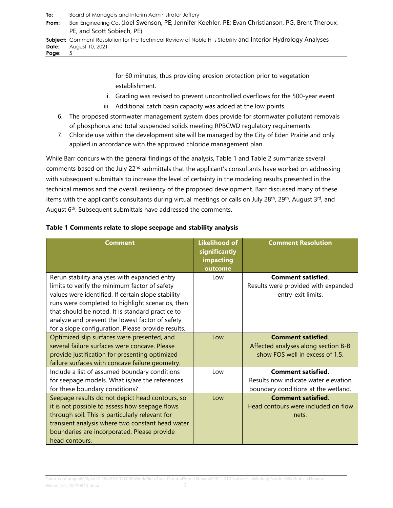**From:** Barr Engineering Co. [\(Joel Swenson, PE; Jennifer Koehler, PE; Evan](#page-0-1) Christianson, PG, Brent Therou[x,](#page-0-1)  PE, [and Scott Sobiech, PE\)](#page-0-1)

**Subject:** [Comment Resolution for the Technical Review of](#page-0-2) Noble Hills Stability and Interior Hydrology Analyse[s](#page-0-2) **Date:** [August 10, 2021](#page-0-3)<br>**Page:** 5 Page:

> for 60 minutes, thus providing erosion protection prior to vegetation establishment.

- ii. Grading was revised to prevent uncontrolled overflows for the 500-year event
- iii. Additional catch basin capacity was added at the low points.
- 6. The proposed stormwater management system does provide for stormwater pollutant removals of phosphorus and total suspended solids meeting RPBCWD regulatory requirements.
- 7. Chloride use within the development site will be managed by the City of Eden Prairie and only applied in accordance with the approved chloride management plan.

While Barr concurs with the general findings of the analysis, [Table 1](#page-4-0) and [Table 2](#page-5-0) summarize several comments based on the July 22<sup>nd</sup> submittals that the applicant's consultants have worked on addressing with subsequent submittals to increase the level of certainty in the modeling results presented in the technical memos and the overall resiliency of the proposed development. Barr discussed many of these items with the applicant's consultants during virtual meetings or calls on July 28<sup>th</sup>, 29<sup>th</sup>, August 3<sup>rd</sup>, and August 6<sup>th</sup>. Subsequent submittals have addressed the comments.

| <b>Comment</b>                                                                                                                                                                                                                                                                                                                                                       | <b>Likelihood of</b><br>significantly<br>impacting<br>outcome | <b>Comment Resolution</b>                                                                                |
|----------------------------------------------------------------------------------------------------------------------------------------------------------------------------------------------------------------------------------------------------------------------------------------------------------------------------------------------------------------------|---------------------------------------------------------------|----------------------------------------------------------------------------------------------------------|
| Rerun stability analyses with expanded entry<br>limits to verify the minimum factor of safety<br>values were identified. If certain slope stability<br>runs were completed to highlight scenarios, then<br>that should be noted. It is standard practice to<br>analyze and present the lowest factor of safety<br>for a slope configuration. Please provide results. | Low                                                           | <b>Comment satisfied</b><br>Results were provided with expanded<br>entry-exit limits.                    |
| Optimized slip surfaces were presented, and<br>several failure surfaces were concave. Please<br>provide justification for presenting optimized<br>failure surfaces with concave failure geometry.                                                                                                                                                                    | Low                                                           | <b>Comment satisfied</b><br>Affected analyses along section B-B<br>show FOS well in excess of 1.5.       |
| Include a list of assumed boundary conditions<br>for seepage models. What is/are the references<br>for these boundary conditions?                                                                                                                                                                                                                                    | l ow                                                          | <b>Comment satisfied.</b><br>Results now indicate water elevation<br>boundary conditions at the wetland. |
| Seepage results do not depict head contours, so<br>it is not possible to assess how seepage flows<br>through soil. This is particularly relevant for<br>transient analysis where two constant head water<br>boundaries are incorporated. Please provide<br>head contours.                                                                                            | $\log$                                                        | <b>Comment satisfied</b><br>Head contours were included on flow<br>nets.                                 |

### <span id="page-4-0"></span>**Table 1 Comments relate to slope seepage and stability analysis**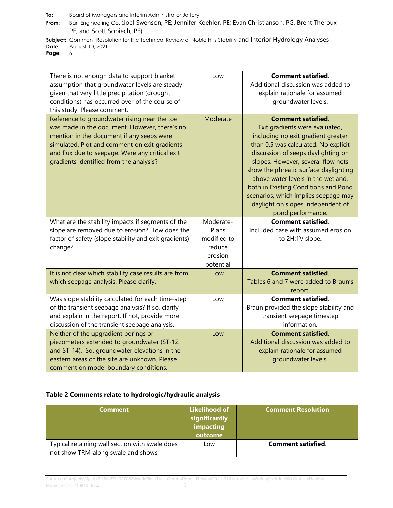**From:** Barr Engineering Co. [\(Joel Swenson, PE; Jennifer Koehler, PE; Evan](#page-0-1) Christianson, PG, Brent Therou[x,](#page-0-1)  PE, [and Scott Sobiech, PE\)](#page-0-1)

**Subject:** [Comment Resolution for the Technical Review of](#page-0-2) Noble Hill[s](#page-0-2) Stability and Interior Hydrology Analyses<br>Date: August 10, 2021 **Date:** [August 10, 2021](#page-0-3)

Page:

| There is not enough data to support blanket<br>assumption that groundwater levels are steady<br>given that very little precipitation (drought<br>conditions) has occurred over of the course of<br>this study. Please comment.                                                            | Low         | <b>Comment satisfied.</b><br>Additional discussion was added to<br>explain rationale for assumed<br>groundwater levels.                                                                                                                                                                                                                                                                                                                        |
|-------------------------------------------------------------------------------------------------------------------------------------------------------------------------------------------------------------------------------------------------------------------------------------------|-------------|------------------------------------------------------------------------------------------------------------------------------------------------------------------------------------------------------------------------------------------------------------------------------------------------------------------------------------------------------------------------------------------------------------------------------------------------|
| Reference to groundwater rising near the toe<br>was made in the document. However, there's no<br>mention in the document if any seeps were<br>simulated. Plot and comment on exit gradients<br>and flux due to seepage. Were any critical exit<br>gradients identified from the analysis? | Moderate    | <b>Comment satisfied.</b><br>Exit gradients were evaluated,<br>including no exit gradient greater<br>than 0.5 was calculated. No explicit<br>discussion of seeps daylighting on<br>slopes. However, several flow nets<br>show the phreatic surface daylighting<br>above water levels in the wetland,<br>both in Existing Conditions and Pond<br>scenarios, which implies seepage may<br>daylight on slopes independent of<br>pond performance. |
| What are the stability impacts if segments of the                                                                                                                                                                                                                                         | Moderate-   | <b>Comment satisfied.</b>                                                                                                                                                                                                                                                                                                                                                                                                                      |
| slope are removed due to erosion? How does the                                                                                                                                                                                                                                            | Plans       | Included case with assumed erosion                                                                                                                                                                                                                                                                                                                                                                                                             |
| factor of safety (slope stability and exit gradients)                                                                                                                                                                                                                                     | modified to | to 2H:1V slope.                                                                                                                                                                                                                                                                                                                                                                                                                                |
| change?                                                                                                                                                                                                                                                                                   | reduce      |                                                                                                                                                                                                                                                                                                                                                                                                                                                |
|                                                                                                                                                                                                                                                                                           | erosion     |                                                                                                                                                                                                                                                                                                                                                                                                                                                |
|                                                                                                                                                                                                                                                                                           | potential   |                                                                                                                                                                                                                                                                                                                                                                                                                                                |
| It is not clear which stability case results are from                                                                                                                                                                                                                                     | Low         | <b>Comment satisfied.</b>                                                                                                                                                                                                                                                                                                                                                                                                                      |
| which seepage analysis. Please clarify.                                                                                                                                                                                                                                                   |             | Tables 6 and 7 were added to Braun's                                                                                                                                                                                                                                                                                                                                                                                                           |
|                                                                                                                                                                                                                                                                                           |             | report.                                                                                                                                                                                                                                                                                                                                                                                                                                        |
| Was slope stability calculated for each time-step                                                                                                                                                                                                                                         | Low         | <b>Comment satisfied.</b>                                                                                                                                                                                                                                                                                                                                                                                                                      |
| of the transient seepage analysis? If so, clarify                                                                                                                                                                                                                                         |             | Braun provided the slope stability and                                                                                                                                                                                                                                                                                                                                                                                                         |
| and explain in the report. If not, provide more<br>discussion of the transient seepage analysis.                                                                                                                                                                                          |             | transient seepage timestep<br>information.                                                                                                                                                                                                                                                                                                                                                                                                     |
| Neither of the upgradient borings or                                                                                                                                                                                                                                                      | Low         | <b>Comment satisfied.</b>                                                                                                                                                                                                                                                                                                                                                                                                                      |
| piezometers extended to groundwater (ST-12                                                                                                                                                                                                                                                |             | Additional discussion was added to                                                                                                                                                                                                                                                                                                                                                                                                             |
| and ST-14). So, groundwater elevations in the                                                                                                                                                                                                                                             |             | explain rationale for assumed                                                                                                                                                                                                                                                                                                                                                                                                                  |
| eastern areas of the site are unknown. Please                                                                                                                                                                                                                                             |             | groundwater levels.                                                                                                                                                                                                                                                                                                                                                                                                                            |
| comment on model boundary conditions.                                                                                                                                                                                                                                                     |             |                                                                                                                                                                                                                                                                                                                                                                                                                                                |
|                                                                                                                                                                                                                                                                                           |             |                                                                                                                                                                                                                                                                                                                                                                                                                                                |

#### <span id="page-5-0"></span>**Table 2 Comments relate to hydrologic/hydraulic analysis**

| <b>Comment</b>                                                                       | Likelihood of<br>significantly<br>impacting<br>outcome | <b>Comment Resolution</b> |
|--------------------------------------------------------------------------------------|--------------------------------------------------------|---------------------------|
| Typical retaining wall section with swale does<br>not show TRM along swale and shows | Low                                                    | <b>Comment satisfied.</b> |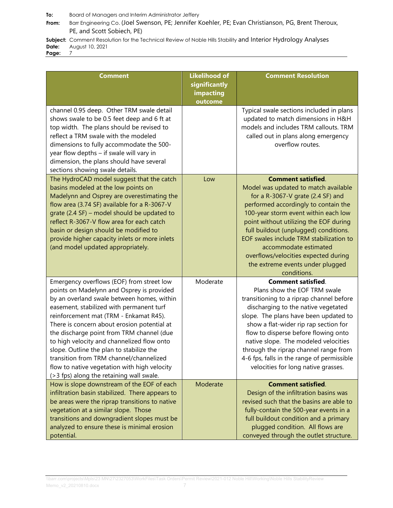**From:** Barr Engineering Co. [\(Joel Swenson, PE; Jennifer Koehler, PE; Evan](#page-0-1) Christianson, PG, Brent Therou[x,](#page-0-1)  PE, [and Scott Sobiech, PE\)](#page-0-1)

**Subject:** [Comment Resolution for the Technical Review of](#page-0-2) Noble Hill[s](#page-0-2) Stability and Interior Hydrology Analyses<br>Date: August 10, 2021 **Date:** [August 10, 2021](#page-0-3)

Page:

| <b>Comment</b>                                                                                                                                                                                                                                                                                                                                                                                                                                                                                                                                          | <b>Likelihood of</b><br>significantly<br>impacting<br>outcome | <b>Comment Resolution</b>                                                                                                                                                                                                                                                                                                                                                                                                                    |
|---------------------------------------------------------------------------------------------------------------------------------------------------------------------------------------------------------------------------------------------------------------------------------------------------------------------------------------------------------------------------------------------------------------------------------------------------------------------------------------------------------------------------------------------------------|---------------------------------------------------------------|----------------------------------------------------------------------------------------------------------------------------------------------------------------------------------------------------------------------------------------------------------------------------------------------------------------------------------------------------------------------------------------------------------------------------------------------|
| channel 0.95 deep. Other TRM swale detail<br>shows swale to be 0.5 feet deep and 6 ft at<br>top width. The plans should be revised to<br>reflect a TRM swale with the modeled<br>dimensions to fully accommodate the 500-<br>year flow depths - if swale will vary in<br>dimension, the plans should have several<br>sections showing swale details.                                                                                                                                                                                                    |                                                               | Typical swale sections included in plans<br>updated to match dimensions in H&H<br>models and includes TRM callouts. TRM<br>called out in plans along emergency<br>overflow routes.                                                                                                                                                                                                                                                           |
| The HydroCAD model suggest that the catch<br>basins modeled at the low points on<br>Madelynn and Osprey are overestimating the<br>flow area (3.74 SF) available for a R-3067-V<br>grate (2.4 SF) - model should be updated to<br>reflect R-3067-V flow area for each catch<br>basin or design should be modified to<br>provide higher capacity inlets or more inlets<br>(and model updated appropriately.                                                                                                                                               | Low                                                           | <b>Comment satisfied.</b><br>Model was updated to match available<br>for a R-3067-V grate (2.4 SF) and<br>performed accordingly to contain the<br>100-year storm event within each low<br>point without utilizing the EOF during<br>full buildout (unplugged) conditions.<br>EOF swales include TRM stabilization to<br>accommodate estimated<br>overflows/velocities expected during<br>the extreme events under plugged<br>conditions.     |
| Emergency overflows (EOF) from street low<br>points on Madelynn and Osprey is provided<br>by an overland swale between homes, within<br>easement, stabilized with permanent turf<br>reinforcement mat (TRM - Enkamat R45).<br>There is concern about erosion potential at<br>the discharge point from TRM channel (due<br>to high velocity and channelized flow onto<br>slope. Outline the plan to stabilize the<br>transition from TRM channel/channelized<br>flow to native vegetation with high velocity<br>(>3 fps) along the retaining wall swale. | Moderate                                                      | <b>Comment satisfied.</b><br>Plans show the EOF TRM swale<br>transitioning to a riprap channel before<br>discharging to the native vegetated<br>slope. The plans have been updated to<br>show a flat-wider rip rap section for<br>flow to disperse before flowing onto<br>native slope. The modeled velocities<br>through the riprap channel range from<br>4-6 fps, falls in the range of permissible<br>velocities for long native grasses. |
| How is slope downstream of the EOF of each<br>infiltration basin stabilized. There appears to<br>be areas were the riprap transitions to native<br>vegetation at a similar slope. Those<br>transitions and downgradient slopes must be<br>analyzed to ensure these is minimal erosion<br>potential.                                                                                                                                                                                                                                                     | Moderate                                                      | <b>Comment satisfied.</b><br>Design of the infiltration basins was<br>revised such that the basins are able to<br>fully-contain the 500-year events in a<br>full buildout condition and a primary<br>plugged condition. All flows are<br>conveyed through the outlet structure.                                                                                                                                                              |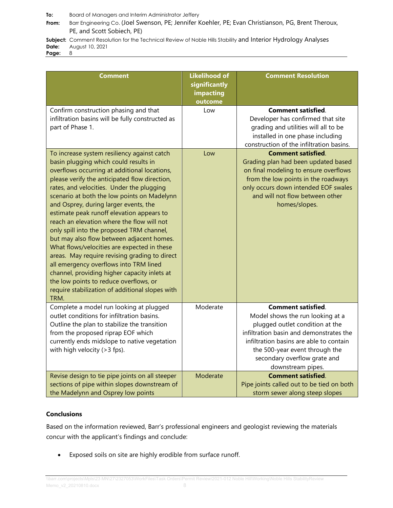**From:** Barr Engineering Co. [\(Joel Swenson, PE; Jennifer Koehler, PE; Evan](#page-0-1) Christianson, PG, Brent Therou[x,](#page-0-1)  PE, [and Scott Sobiech, PE\)](#page-0-1)

**Subject:** [Comment Resolution for the Technical Review of](#page-0-2) Noble Hill[s](#page-0-2) Stability and Interior Hydrology Analyses<br>Date: August 10, 2021 **Date:** [August 10, 2021](#page-0-3)

Page:

| <b>Comment</b>                                                                                                                                                                                                                                                                                                                                                                                                                                                                                                                                                                                                                                                                                                                                                                                                 | <b>Likelihood of</b><br>significantly<br>impacting<br>outcome | <b>Comment Resolution</b>                                                                                                                                                                                                                                                     |
|----------------------------------------------------------------------------------------------------------------------------------------------------------------------------------------------------------------------------------------------------------------------------------------------------------------------------------------------------------------------------------------------------------------------------------------------------------------------------------------------------------------------------------------------------------------------------------------------------------------------------------------------------------------------------------------------------------------------------------------------------------------------------------------------------------------|---------------------------------------------------------------|-------------------------------------------------------------------------------------------------------------------------------------------------------------------------------------------------------------------------------------------------------------------------------|
| Confirm construction phasing and that<br>infiltration basins will be fully constructed as<br>part of Phase 1.                                                                                                                                                                                                                                                                                                                                                                                                                                                                                                                                                                                                                                                                                                  | Low                                                           | <b>Comment satisfied.</b><br>Developer has confirmed that site<br>grading and utilities will all to be<br>installed in one phase including<br>construction of the infiltration basins.                                                                                        |
| To increase system resiliency against catch<br>basin plugging which could results in<br>overflows occurring at additional locations,<br>please verify the anticipated flow direction,<br>rates, and velocities. Under the plugging<br>scenario at both the low points on Madelynn<br>and Osprey, during larger events, the<br>estimate peak runoff elevation appears to<br>reach an elevation where the flow will not<br>only spill into the proposed TRM channel,<br>but may also flow between adjacent homes.<br>What flows/velocities are expected in these<br>areas. May require revising grading to direct<br>all emergency overflows into TRM lined<br>channel, providing higher capacity inlets at<br>the low points to reduce overflows, or<br>require stabilization of additional slopes with<br>TRM. | Low                                                           | <b>Comment satisfied.</b><br>Grading plan had been updated based<br>on final modeling to ensure overflows<br>from the low points in the roadways<br>only occurs down intended EOF swales<br>and will not flow between other<br>homes/slopes.                                  |
| Complete a model run looking at plugged<br>outlet conditions for infiltration basins.<br>Outline the plan to stabilize the transition<br>from the proposed riprap EOF which<br>currently ends midslope to native vegetation<br>with high velocity (> 3 fps).                                                                                                                                                                                                                                                                                                                                                                                                                                                                                                                                                   | Moderate                                                      | <b>Comment satisfied.</b><br>Model shows the run looking at a<br>plugged outlet condition at the<br>infiltration basin and demonstrates the<br>infiltration basins are able to contain<br>the 500-year event through the<br>secondary overflow grate and<br>downstream pipes. |
| Revise design to tie pipe joints on all steeper<br>sections of pipe within slopes downstream of<br>the Madelynn and Osprey low points                                                                                                                                                                                                                                                                                                                                                                                                                                                                                                                                                                                                                                                                          | Moderate                                                      | <b>Comment satisfied.</b><br>Pipe joints called out to be tied on both<br>storm sewer along steep slopes                                                                                                                                                                      |

#### **Conclusions**

Based on the information reviewed, Barr's professional engineers and geologist reviewing the materials concur with the applicant's findings and conclude:

• Exposed soils on site are highly erodible from surface runoff.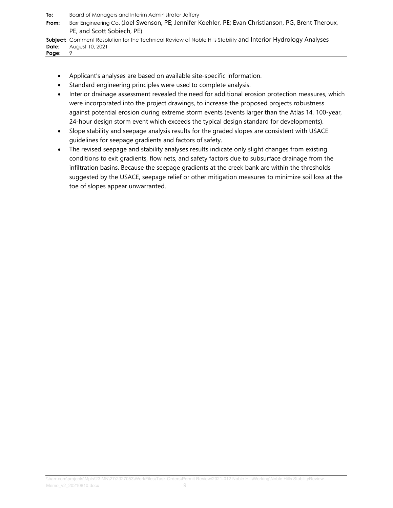**To:** [Board of Managers and Interim Administrator Jeffery](#page-0-0) **From:** Barr Engineering Co. [\(Joel Swenson, PE; Jennifer Koehler, PE; Evan](#page-0-1) Christianson, PG, Brent Therou[x,](#page-0-1)  PE, [and Scott Sobiech, PE\)](#page-0-1) **Subject:** [Comment Resolution for the Technical Review of](#page-0-2) Noble Hills Stability and Interior Hydrology Analyse[s](#page-0-2) **Date:** [August 10, 2021](#page-0-3)<br>**Page:** 9 Page:

- Applicant's analyses are based on available site-specific information.
- Standard engineering principles were used to complete analysis.
- Interior drainage assessment revealed the need for additional erosion protection measures, which were incorporated into the project drawings, to increase the proposed projects robustness against potential erosion during extreme storm events (events larger than the Atlas 14, 100-year, 24-hour design storm event which exceeds the typical design standard for developments).
- Slope stability and seepage analysis results for the graded slopes are consistent with USACE guidelines for seepage gradients and factors of safety.
- The revised seepage and stability analyses results indicate only slight changes from existing conditions to exit gradients, flow nets, and safety factors due to subsurface drainage from the infiltration basins. Because the seepage gradients at the creek bank are within the thresholds suggested by the USACE, seepage relief or other mitigation measures to minimize soil loss at the toe of slopes appear unwarranted.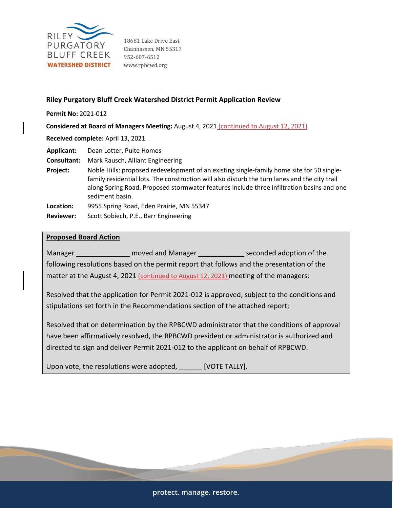

18681 Lake Drive East Chanhassen, MN 55317 952-607-6512 www.rpbcwd.org

### **Riley Purgatory Bluff Creek Watershed District Permit Application Review**

**Permit No:** 2021-012

**Considered at Board of Managers Meeting:** August 4, 2021 (continued to August 12, 2021)

**Received complete:** April 13, 2021

**Applicant:** Dean Lotter, Pulte Homes

**Consultant:** Mark Rausch, Alliant Engineering

**Project:** Noble Hills: proposed redevelopment of an existing single-family home site for 50 singlefamily residential lots. The construction will also disturb the turn lanes and the city trail along Spring Road. Proposed stormwater features include three infiltration basins and one sediment basin.

**Location:** 9955 Spring Road, Eden Prairie, MN 55347

**Reviewer:** Scott Sobiech, P.E., Barr Engineering

#### **Proposed Board Action**

Manager \_\_\_\_\_\_\_\_\_\_\_\_\_\_ moved and Manager **\_\_\_\_\_\_\_\_\_\_\_\_** seconded adoption of the following resolutions based on the permit report that follows and the presentation of the matter at the August 4, 2021 (continued to August 12, 2021) meeting of the managers:

Resolved that the application for Permit 2021-012 is approved, subject to the conditions and stipulations set forth in the Recommendations section of the attached report;

Resolved that on determination by the RPBCWD administrator that the conditions of approval have been affirmatively resolved, the RPBCWD president or administrator is authorized and directed to sign and deliver Permit 2021-012 to the applicant on behalf of RPBCWD.

Upon vote, the resolutions were adopted, \_\_\_\_\_\_ [VOTE TALLY].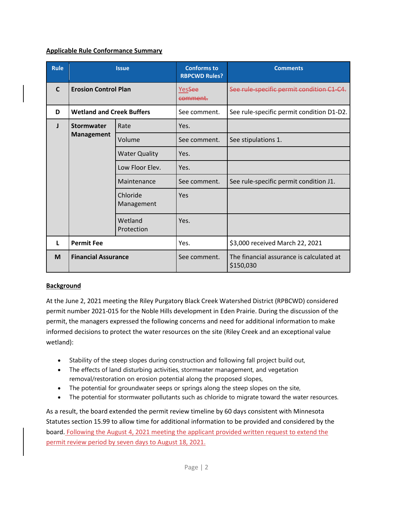# **Applicable Rule Conformance Summary**

| <b>Rule</b>  | <b>Issue</b>                     |                        |                                |                                                       | <b>Conforms to</b><br><b>RBPCWD Rules?</b> | <b>Comments</b> |
|--------------|----------------------------------|------------------------|--------------------------------|-------------------------------------------------------|--------------------------------------------|-----------------|
| $\mathbf{C}$ | <b>Erosion Control Plan</b>      |                        | Yes <del>See</del><br>comment. | See rule-specific permit condition C1-C4.             |                                            |                 |
| D            | <b>Wetland and Creek Buffers</b> |                        | See comment.                   | See rule-specific permit condition D1-D2.             |                                            |                 |
| л            | <b>Stormwater</b>                | Rate                   | Yes.                           |                                                       |                                            |                 |
|              | <b>Management</b>                | Volume                 | See comment.                   | See stipulations 1.                                   |                                            |                 |
|              |                                  | <b>Water Quality</b>   | Yes.                           |                                                       |                                            |                 |
|              |                                  | Low Floor Elev.        | Yes.                           |                                                       |                                            |                 |
|              | Maintenance                      |                        | See comment.                   | See rule-specific permit condition J1.                |                                            |                 |
|              |                                  | Chloride<br>Management | Yes                            |                                                       |                                            |                 |
|              |                                  | Wetland<br>Protection  | Yes.                           |                                                       |                                            |                 |
| L            | <b>Permit Fee</b>                |                        | Yes.                           | \$3,000 received March 22, 2021                       |                                            |                 |
| M            | <b>Financial Assurance</b>       |                        | See comment.                   | The financial assurance is calculated at<br>\$150,030 |                                            |                 |

# **Background**

At the June 2, 2021 meeting the Riley Purgatory Black Creek Watershed District (RPBCWD) considered permit number 2021-015 for the Noble Hills development in Eden Prairie. During the discussion of the permit, the managers expressed the following concerns and need for additional information to make informed decisions to protect the water resources on the site (Riley Creek and an exceptional value wetland):

- Stability of the steep slopes during construction and following fall project build out,
- The effects of land disturbing activities, stormwater management, and vegetation removal/restoration on erosion potential along the proposed slopes,
- The potential for groundwater seeps or springs along the steep slopes on the site,
- The potential for stormwater pollutants such as chloride to migrate toward the water resources.

As a result, the board extended the permit review timeline by 60 days consistent with Minnesota Statutes section 15.99 to allow time for additional information to be provided and considered by the board. Following the August 4, 2021 meeting the applicant provided written request to extend the permit review period by seven days to August 18, 2021.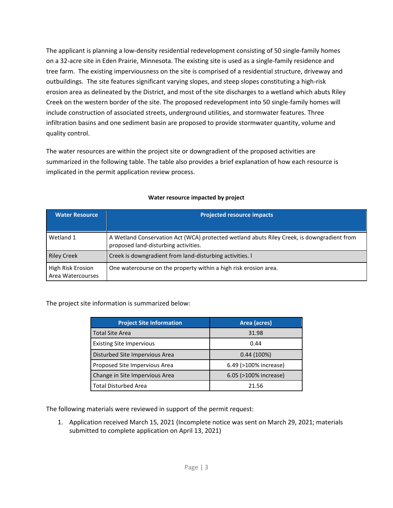The applicant is planning a low-density residential redevelopment consisting of 50 single-family homes on a 32-acre site in Eden Prairie, Minnesota. The existing site is used as a single-family residence and tree farm. The existing imperviousness on the site is comprised of a residential structure, driveway and outbuildings. The site features significant varying slopes, and steep slopes constituting a high-risk erosion area as delineated by the District, and most of the site discharges to a wetland which abuts Riley Creek on the western border of the site. The proposed redevelopment into 50 single-family homes will include construction of associated streets, underground utilities, and stormwater features. Three infiltration basins and one sediment basin are proposed to provide stormwater quantity, volume and quality control.

The water resources are within the project site or downgradient of the proposed activities are summarized in the following table. The table also provides a brief explanation of how each resource is implicated in the permit application review process.

| <b>Water Resource</b>                  | <b>Projected resource impacts</b>                                                                                                  |  |  |  |  |  |
|----------------------------------------|------------------------------------------------------------------------------------------------------------------------------------|--|--|--|--|--|
| Wetland 1                              | A Wetland Conservation Act (WCA) protected wetland abuts Riley Creek, is downgradient from<br>proposed land-disturbing activities. |  |  |  |  |  |
| <b>Riley Creek</b>                     | Creek is downgradient from land-disturbing activities. I                                                                           |  |  |  |  |  |
| High Risk Erosion<br>Area Watercourses | One watercourse on the property within a high risk erosion area.                                                                   |  |  |  |  |  |

### **Water resource impacted by project**

The project site information is summarized below:

| <b>Project Site Information</b> | Area (acres)          |
|---------------------------------|-----------------------|
| <b>Total Site Area</b>          | 31.98                 |
| <b>Existing Site Impervious</b> | 0.44                  |
| Disturbed Site Impervious Area  | $0.44(100\%)$         |
| Proposed Site Impervious Area   | 6.49 (>100% increase) |
| Change in Site Impervious Area  | 6.05 (>100% increase) |
| <b>Total Disturbed Area</b>     | 21.56                 |

The following materials were reviewed in support of the permit request:

1. Application received March 15, 2021 (Incomplete notice was sent on March 29, 2021; materials submitted to complete application on April 13, 2021)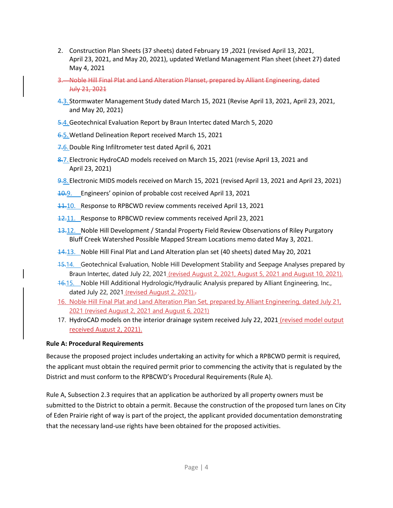- 2. Construction Plan Sheets (37 sheets) dated February 19 ,2021 (revised April 13, 2021, April 23, 2021, and May 20, 2021), updated Wetland Management Plan sheet (sheet 27) dated May 4, 2021
- 3. Noble Hill Final Plat and Land Alteration Planset, prepared by Alliant Engineering, dated July 21, 2021
- 4.3.Stormwater Management Study dated March 15, 2021 (Revise April 13, 2021, April 23, 2021, and May 20, 2021)
- 5.4.Geotechnical Evaluation Report by Braun Intertec dated March 5, 2020
- 6.5. Wetland Delineation Report received March 15, 2021
- 7.6. Double Ring Infiltrometer test dated April 6, 2021
- 8.7. Electronic HydroCAD models received on March 15, 2021 (revise April 13, 2021 and April 23, 2021)
- 9.8.Electronic MIDS models received on March 15, 2021 (revised April 13, 2021 and April 23, 2021)
- 10.9. Engineers' opinion of probable cost received April 13, 2021
- 11.10. Response to RPBCWD review comments received April 13, 2021
- 12.11. Response to RPBCWD review comments received April 23, 2021
- 13.12. Noble Hill Development / Standal Property Field Review Observations of Riley Purgatory Bluff Creek Watershed Possible Mapped Stream Locations memo dated May 3, 2021.
- 14.13. Noble Hill Final Plat and Land Alteration plan set (40 sheets) dated May 20, 2021
- 15.14. Geotechnical Evaluation, Noble Hill Development Stability and Seepage Analyses prepared by Braun Intertec, dated July 22, 2021 (revised August 2, 2021, August 5, 2021 and August 10, 2021).
- 16.15. Noble Hill Additional Hydrologic/Hydraulic Analysis prepared by Alliant Engineering, Inc., dated July 22, 2021 (revised August 2, 2021).-
- 16. Noble Hill Final Plat and Land Alteration Plan Set, prepared by Alliant Engineering, dated July 21, 2021 (revised August 2, 2021 and August 6, 2021)
- 17. HydroCAD models on the interior drainage system received July 22, 2021 (revised model output received August 2, 2021).

# **Rule A: Procedural Requirements**

Because the proposed project includes undertaking an activity for which a RPBCWD permit is required, the applicant must obtain the required permit prior to commencing the activity that is regulated by the District and must conform to the RPBCWD's Procedural Requirements (Rule A).

Rule A, Subsection 2.3 requires that an application be authorized by all property owners must be submitted to the District to obtain a permit. Because the construction of the proposed turn lanes on City of Eden Prairie right of way is part of the project, the applicant provided documentation demonstrating that the necessary land-use rights have been obtained for the proposed activities.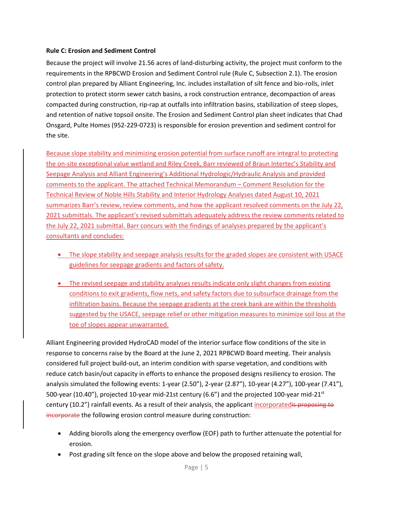#### **Rule C: Erosion and Sediment Control**

Because the project will involve 21.56 acres of land-disturbing activity, the project must conform to the requirements in the RPBCWD Erosion and Sediment Control rule (Rule C, Subsection 2.1). The erosion control plan prepared by Alliant Engineering, Inc. includes installation of silt fence and bio-rolls, inlet protection to protect storm sewer catch basins, a rock construction entrance, decompaction of areas compacted during construction, rip-rap at outfalls into infiltration basins, stabilization of steep slopes, and retention of native topsoil onsite. The Erosion and Sediment Control plan sheet indicates that Chad Onsgard, Pulte Homes (952-229-0723) is responsible for erosion prevention and sediment control for the site.

Because slope stability and minimizing erosion potential from surface runoff are integral to protecting the on-site exceptional value wetland and Riley Creek, Barr reviewed of Braun Intertec's Stability and Seepage Analysis and Alliant Engineering's Additional Hydrologic/Hydraulic Analysis and provided comments to the applicant. The attached Technical Memorandum – Comment Resolution for the Technical Review of Noble Hills Stability and Interior Hydrology Analyses dated August 10, 2021 summarizes Barr's review, review comments, and how the applicant resolved comments on the July 22, 2021 submittals. The applicant's revised submittals adequately address the review comments related to the July 22, 2021 submittal. Barr concurs with the findings of analyses prepared by the applicant's consultants and concludes:

- The slope stability and seepage analysis results for the graded slopes are consistent with USACE guidelines for seepage gradients and factors of safety.
- The revised seepage and stability analyses results indicate only slight changes from existing conditions to exit gradients, flow nets, and safety factors due to subsurface drainage from the infiltration basins. Because the seepage gradients at the creek bank are within the thresholds suggested by the USACE, seepage relief or other mitigation measures to minimize soil loss at the toe of slopes appear unwarranted.

Alliant Engineering provided HydroCAD model of the interior surface flow conditions of the site in response to concerns raise by the Board at the June 2, 2021 RPBCWD Board meeting. Their analysis considered full project build-out, an interim condition with sparse vegetation, and conditions with reduce catch basin/out capacity in efforts to enhance the proposed designs resiliency to erosion. The analysis simulated the following events: 1-year (2.50"), 2-year (2.87"), 10-year (4.27"), 100-year (7.41"), 500-year (10.40"), projected 10-year mid-21st century (6.6") and the projected 100-year mid-21 $^{\rm st}$ century (10.2") rainfall events. As a result of their analysis, the applicant incorporatedis proposing to incorporate the following erosion control measure during construction:

- Adding biorolls along the emergency overflow (EOF) path to further attenuate the potential for erosion.
- Post grading silt fence on the slope above and below the proposed retaining wall,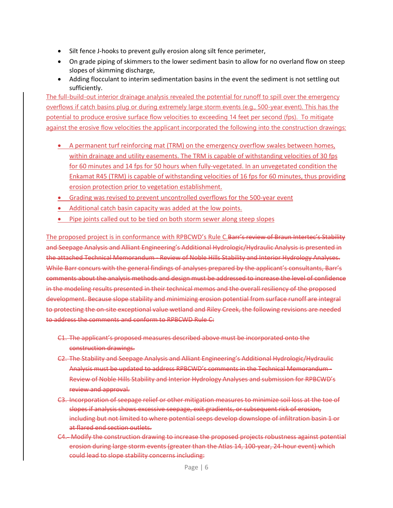- Silt fence J-hooks to prevent gully erosion along silt fence perimeter,
- On grade piping of skimmers to the lower sediment basin to allow for no overland flow on steep slopes of skimming discharge,
- Adding flocculant to interim sedimentation basins in the event the sediment is not settling out sufficiently.

The full-build-out interior drainage analysis revealed the potential for runoff to spill over the emergency overflows if catch basins plug or during extremely large storm events (e.g., 500-year event). This has the potential to produce erosive surface flow velocities to exceeding 14 feet per second (fps). To mitigate against the erosive flow velocities the applicant incorporated the following into the construction drawings:

- A permanent turf reinforcing mat (TRM) on the emergency overflow swales between homes, within drainage and utility easements. The TRM is capable of withstanding velocities of 30 fps for 60 minutes and 14 fps for 50 hours when fully-vegetated. In an unvegetated condition the Enkamat R45 (TRM) is capable of withstanding velocities of 16 fps for 60 minutes, thus providing erosion protection prior to vegetation establishment.
- Grading was revised to prevent uncontrolled overflows for the 500-year event
- Additional catch basin capacity was added at the low points.
- Pipe joints called out to be tied on both storm sewer along steep slopes

The proposed project is in conformance with RPBCWD's Rule C.Barr's review of Braun Intertec's Stability and Seepage Analysis and Alliant Engineering's Additional Hydrologic/Hydraulic Analysis is presented in the attached Technical Memorandum - Review of Noble Hills Stability and Interior Hydrology Analyses. While Barr concurs with the general findings of analyses prepared by the applicant's consultants, Barr's comments about the analysis methods and design must be addressed to increase the level of confidence in the modeling results presented in their technical memos and the overall resiliency of the proposed development. Because slope stability and minimizing erosion potential from surface runoff are integral to protecting the on-site exceptional value wetland and Riley Creek, the following revisions are needed to address the comments and conform to RPBCWD Rule C:

- C1. The applicant's proposed measures described above must be incorporated onto the construction drawings.
- C2. The Stability and Seepage Analysis and Alliant Engineering's Additional Hydrologic/Hydraulic Analysis must be updated to address RPBCWD's comments in the Technical Memorandum - Review of Noble Hills Stability and Interior Hydrology Analyses and submission for RPBCWD's review and approval.
- C3. Incorporation of seepage relief or other mitigation measures to minimize soil loss at the toe of slopes if analysis shows excessive seepage, exit gradients, or subsequent risk of erosion, including but not limited to where potential seeps develop downslope of infiltration basin 1 or at flared end section outlets.
- C4. Modify the construction drawing to increase the proposed projects robustness against potential erosion during large storm events (greater than the Atlas 14, 100-year, 24-hour event) which could lead to slope stability concerns including: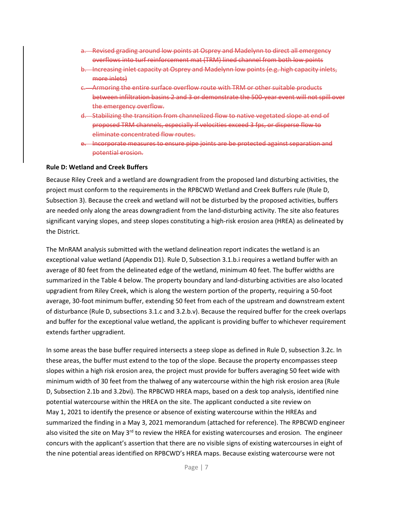- a. Revised grading around low points at Osprey and Madelynn to direct all emergency overflows into turf reinforcement mat (TRM) lined channel from both low points
- b. Increasing inlet capacity at Osprey and Madelynn low points (e.g. high capacity inlets, more inlets)
- c. Armoring the entire surface overflow route with TRM or other suitable products between infiltration basins 2 and 3 or demonstrate the 500-year event will not spill over the emergency overflow.
- d. Stabilizing the transition from channelized flow to native vegetated slope at end of proposed TRM channels, especially if velocities exceed 3 fps, or disperse flow to eliminate concentrated flow routes.
- e. Incorporate measures to ensure pipe joints are be protected against separation and potential erosion.

#### **Rule D: Wetland and Creek Buffers**

Because Riley Creek and a wetland are downgradient from the proposed land disturbing activities, the project must conform to the requirements in the RPBCWD Wetland and Creek Buffers rule (Rule D, Subsection 3). Because the creek and wetland will not be disturbed by the proposed activities, buffers are needed only along the areas downgradient from the land-disturbing activity. The site also features significant varying slopes, and steep slopes constituting a high-risk erosion area (HREA) as delineated by the District.

The MnRAM analysis submitted with the wetland delineation report indicates the wetland is an exceptional value wetland (Appendix D1). Rule D, Subsection 3.1.b.i requires a wetland buffer with an average of 80 feet from the delineated edge of the wetland, minimum 40 feet. The buffer widths are summarized in the Table 4 below. The property boundary and land-disturbing activities are also located upgradient from Riley Creek, which is along the western portion of the property, requiring a 50-foot average, 30-foot minimum buffer, extending 50 feet from each of the upstream and downstream extent of disturbance (Rule D, subsections 3.1.c and 3.2.b.v). Because the required buffer for the creek overlaps and buffer for the exceptional value wetland, the applicant is providing buffer to whichever requirement extends farther upgradient.

In some areas the base buffer required intersects a steep slope as defined in Rule D, subsection 3.2c. In these areas, the buffer must extend to the top of the slope. Because the property encompasses steep slopes within a high risk erosion area, the project must provide for buffers averaging 50 feet wide with minimum width of 30 feet from the thalweg of any watercourse within the high risk erosion area (Rule D, Subsection 2.1b and 3.2bvi). The RPBCWD HREA maps, based on a desk top analysis, identified nine potential watercourse within the HREA on the site. The applicant conducted a site review on May 1, 2021 to identify the presence or absence of existing watercourse within the HREAs and summarized the finding in a May 3, 2021 memorandum (attached for reference). The RPBCWD engineer also visited the site on May  $3<sup>rd</sup>$  to review the HREA for existing watercourses and erosion. The engineer concurs with the applicant's assertion that there are no visible signs of existing watercourses in eight of the nine potential areas identified on RPBCWD's HREA maps. Because existing watercourse were not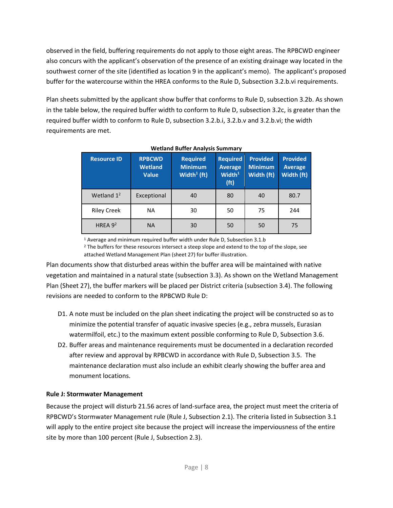observed in the field, buffering requirements do not apply to those eight areas. The RPBCWD engineer also concurs with the applicant's observation of the presence of an existing drainage way located in the southwest corner of the site (identified as location 9 in the applicant's memo). The applicant's proposed buffer for the watercourse within the HREA conforms to the Rule D, Subsection 3.2.b.vi requirements.

Plan sheets submitted by the applicant show buffer that conforms to Rule D, subsection 3.2b. As shown in the table below, the required buffer width to conform to Rule D, subsection 3.2c, is greater than the required buffer width to conform to Rule D, subsection 3.2.b.i, 3.2.b.v and 3.2.b.vi; the width requirements are met.

| <b>Resource ID</b> | <b>RPBCWD</b><br><b>Wetland</b><br><b>Value</b> | <b>Required</b><br><b>Minimum</b><br>Width $\frac{1}{1}$ (ft) | <b>Required</b><br><b>Average</b><br>Width <sup>1</sup><br>(f <sup>t</sup> ) | <b>Provided</b><br><b>Minimum</b><br>Width (ft) | <b>Provided</b><br><b>Average</b><br>Width (ft) |
|--------------------|-------------------------------------------------|---------------------------------------------------------------|------------------------------------------------------------------------------|-------------------------------------------------|-------------------------------------------------|
| Wetland $1^2$      | Exceptional                                     | 40                                                            | 80                                                                           | 40                                              | 80.7                                            |
| <b>Riley Creek</b> | <b>NA</b>                                       | 30                                                            | 50                                                                           | 75                                              | 244                                             |
| HREA $9^2$         | <b>NA</b>                                       | 30                                                            | 50                                                                           | 50                                              | 75                                              |

#### **Wetland Buffer Analysis Summary**

<sup>1</sup> Average and minimum required buffer width under Rule D, Subsection 3.1.b

<sup>2</sup> The buffers for these resources intersect a steep slope and extend to the top of the slope, see attached Wetland Management Plan (sheet 27) for buffer illustration.

Plan documents show that disturbed areas within the buffer area will be maintained with native vegetation and maintained in a natural state (subsection 3.3). As shown on the Wetland Management Plan (Sheet 27), the buffer markers will be placed per District criteria (subsection 3.4). The following revisions are needed to conform to the RPBCWD Rule D:

- D1. A note must be included on the plan sheet indicating the project will be constructed so as to minimize the potential transfer of aquatic invasive species (e.g., zebra mussels, Eurasian watermilfoil, etc.) to the maximum extent possible conforming to Rule D, Subsection 3.6.
- D2. Buffer areas and maintenance requirements must be documented in a declaration recorded after review and approval by RPBCWD in accordance with Rule D, Subsection 3.5. The maintenance declaration must also include an exhibit clearly showing the buffer area and monument locations.

# **Rule J: Stormwater Management**

Because the project will disturb 21.56 acres of land-surface area, the project must meet the criteria of RPBCWD's Stormwater Management rule (Rule J, Subsection 2.1). The criteria listed in Subsection 3.1 will apply to the entire project site because the project will increase the imperviousness of the entire site by more than 100 percent (Rule J, Subsection 2.3).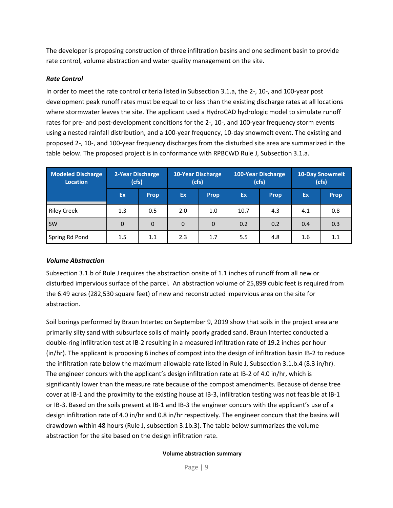The developer is proposing construction of three infiltration basins and one sediment basin to provide rate control, volume abstraction and water quality management on the site.

# *Rate Control*

In order to meet the rate control criteria listed in Subsection 3.1.a, the 2-, 10-, and 100-year post development peak runoff rates must be equal to or less than the existing discharge rates at all locations where stormwater leaves the site. The applicant used a HydroCAD hydrologic model to simulate runoff rates for pre- and post-development conditions for the 2-, 10-, and 100-year frequency storm events using a nested rainfall distribution, and a 100-year frequency, 10-day snowmelt event. The existing and proposed 2-, 10-, and 100-year frequency discharges from the disturbed site area are summarized in the table below. The proposed project is in conformance with RPBCWD Rule J, Subsection 3.1.a.

| <b>Modeled Discharge</b><br>Location | 2-Year Discharge<br>(cfs) |             | 10-Year Discharge<br>(cfs) |             |      | <b>100-Year Discharge</b><br>(cfs) |           | <b>10-Day Snowmelt</b><br>(cfs) |
|--------------------------------------|---------------------------|-------------|----------------------------|-------------|------|------------------------------------|-----------|---------------------------------|
|                                      | <b>Ex</b>                 | <b>Prop</b> | Ex.                        | <b>Prop</b> | Ex   | <b>Prop</b>                        | <b>Ex</b> | <b>Prop</b>                     |
| <b>Riley Creek</b>                   | 1.3                       | 0.5         | 2.0                        | 1.0         | 10.7 | 4.3                                | 4.1       | 0.8                             |
| <b>SW</b>                            | $\Omega$                  | 0           | $\Omega$                   | $\Omega$    | 0.2  | 0.2                                | 0.4       | 0.3                             |
| Spring Rd Pond                       | 1.5                       | 1.1         | 2.3                        | 1.7         | 5.5  | 4.8                                | 1.6       | 1.1                             |

# *Volume Abstraction*

Subsection 3.1.b of Rule J requires the abstraction onsite of 1.1 inches of runoff from all new or disturbed impervious surface of the parcel. An abstraction volume of 25,899 cubic feet is required from the 6.49 acres (282,530 square feet) of new and reconstructed impervious area on the site for abstraction.

Soil borings performed by Braun Intertec on September 9, 2019 show that soils in the project area are primarily silty sand with subsurface soils of mainly poorly graded sand. Braun Intertec conducted a double-ring infiltration test at IB-2 resulting in a measured infiltration rate of 19.2 inches per hour (in/hr). The applicant is proposing 6 inches of compost into the design of infiltration basin IB-2 to reduce the infiltration rate below the maximum allowable rate listed in Rule J, Subsection 3.1.b.4 (8.3 in/hr). The engineer concurs with the applicant's design infiltration rate at IB-2 of 4.0 in/hr, which is significantly lower than the measure rate because of the compost amendments. Because of dense tree cover at IB-1 and the proximity to the existing house at IB-3, infiltration testing was not feasible at IB-1 or IB-3. Based on the soils present at IB-1 and IB-3 the engineer concurs with the applicant's use of a design infiltration rate of 4.0 in/hr and 0.8 in/hr respectively. The engineer concurs that the basins will drawdown within 48 hours (Rule J, subsection 3.1b.3). The table below summarizes the volume abstraction for the site based on the design infiltration rate.

#### **Volume abstraction summary**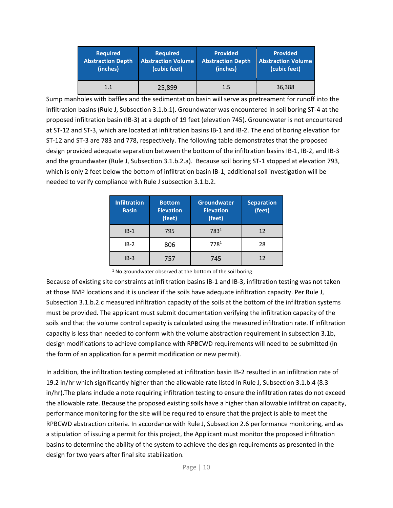| <b>Required</b>          | <b>Required</b>           | <b>Provided</b>          | <b>Provided</b>           |
|--------------------------|---------------------------|--------------------------|---------------------------|
| <b>Abstraction Depth</b> | <b>Abstraction Volume</b> | <b>Abstraction Depth</b> | <b>Abstraction Volume</b> |
| (inches)                 | (cubic feet)              | (inches)                 | (cubic feet)              |
| 1.1                      | 25,899                    | 1.5                      | 36,388                    |

Sump manholes with baffles and the sedimentation basin will serve as pretreament for runoff into the infiltration basins (Rule J, Subsection 3.1.b.1). Groundwater was encountered in soil boring ST-4 at the proposed infiltration basin (IB-3) at a depth of 19 feet (elevation 745). Groundwater is not encountered at ST-12 and ST-3, which are located at infiltration basins IB-1 and IB-2. The end of boring elevation for ST-12 and ST-3 are 783 and 778, respectively. The following table demonstrates that the proposed design provided adequate separation between the bottom of the infiltration basins IB-1, IB-2, and IB-3 and the groundwater (Rule J, Subsection 3.1.b.2.a). Because soil boring ST-1 stopped at elevation 793, which is only 2 feet below the bottom of infiltration basin IB-1, additional soil investigation will be needed to verify compliance with Rule J subsection 3.1.b.2.

| <b>Infiltration</b><br><b>Basin</b> | <b>Bottom</b><br><b>Elevation</b><br>(feet) | Groundwater<br><b>Elevation</b><br>(feet) | <b>Separation</b><br>(feet) |
|-------------------------------------|---------------------------------------------|-------------------------------------------|-----------------------------|
| $IB-1$                              | 795                                         | 783 <sup>1</sup>                          | 12                          |
| $IB-2$                              | 806                                         | 7781                                      | 28                          |
| $IB-3$                              | 757                                         | 745                                       | 12                          |

Because of existing site constraints at infiltration basins IB-1 and IB-3, infiltration testing was not taken at those BMP locations and it is unclear if the soils have adequate infiltration capacity. Per Rule J, Subsection 3.1.b.2.c measured infiltration capacity of the soils at the bottom of the infiltration systems must be provided. The applicant must submit documentation verifying the infiltration capacity of the soils and that the volume control capacity is calculated using the measured infiltration rate. If infiltration capacity is less than needed to conform with the volume abstraction requirement in subsection 3.1b, design modifications to achieve compliance with RPBCWD requirements will need to be submitted (in the form of an application for a permit modification or new permit).

In addition, the infiltration testing completed at infiltration basin IB-2 resulted in an infiltration rate of 19.2 in/hr which significantly higher than the allowable rate listed in Rule J, Subsection 3.1.b.4 (8.3 in/hr).The plans include a note requiring infiltration testing to ensure the infiltration rates do not exceed the allowable rate. Because the proposed existing soils have a higher than allowable infiltration capacity, performance monitoring for the site will be required to ensure that the project is able to meet the RPBCWD abstraction criteria. In accordance with Rule J, Subsection 2.6 performance monitoring, and as a stipulation of issuing a permit for this project, the Applicant must monitor the proposed infiltration basins to determine the ability of the system to achieve the design requirements as presented in the design for two years after final site stabilization.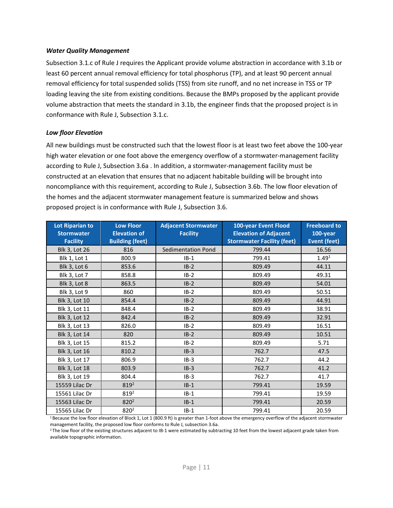#### *Water Quality Management*

Subsection 3.1.c of Rule J requires the Applicant provide volume abstraction in accordance with 3.1b or least 60 percent annual removal efficiency for total phosphorus (TP), and at least 90 percent annual removal efficiency for total suspended solids (TSS) from site runoff, and no net increase in TSS or TP loading leaving the site from existing conditions. Because the BMPs proposed by the applicant provide volume abstraction that meets the standard in 3.1b, the engineer finds that the proposed project is in conformance with Rule J, Subsection 3.1.c.

#### *Low floor Elevation*

All new buildings must be constructed such that the lowest floor is at least two feet above the 100-year high water elevation or one foot above the emergency overflow of a stormwater-management facility according to Rule J, Subsection 3.6a . In addition, a stormwater-management facility must be constructed at an elevation that ensures that no adjacent habitable building will be brought into noncompliance with this requirement, according to Rule J, Subsection 3.6b. The low floor elevation of the homes and the adjacent stormwater management feature is summarized below and shows proposed project is in conformance with Rule J, Subsection 3.6.

| <b>Lot Riparian to</b><br><b>Stormwater</b> | <b>Low Floor</b><br><b>Elevation of</b> | <b>Adjacent Stormwater</b><br><b>Facility</b> | 100-year Event Flood<br><b>Elevation of Adjacent</b> | <b>Freeboard to</b><br>100-year |
|---------------------------------------------|-----------------------------------------|-----------------------------------------------|------------------------------------------------------|---------------------------------|
| <b>Facility</b>                             | <b>Building (feet)</b>                  |                                               | <b>Stormwater Facility (feet)</b>                    | <b>Event (feet)</b>             |
| <b>Blk 3, Lot 26</b>                        | 816                                     | <b>Sedimentation Pond</b>                     | 799.44                                               | 16.56                           |
| <b>Blk 1, Lot 1</b>                         | 800.9                                   | $IB-1$                                        | 799.41                                               | 1.49 <sup>1</sup>               |
| <b>Blk 3, Lot 6</b>                         | 853.6                                   | $IB-2$                                        | 809.49                                               | 44.11                           |
| Blk 3, Lot 7                                | 858.8                                   | $IB-2$                                        | 809.49                                               | 49.31                           |
| <b>Blk 3, Lot 8</b>                         | 863.5                                   | $IB-2$                                        | 809.49                                               | 54.01                           |
| Blk 3, Lot 9                                | 860                                     | $IB-2$                                        | 809.49                                               | 50.51                           |
| <b>Blk 3, Lot 10</b>                        | 854.4                                   | $IB-2$                                        | 809.49                                               | 44.91                           |
| Blk 3, Lot 11                               | 848.4                                   | $IB-2$                                        | 809.49                                               | 38.91                           |
| <b>Blk 3, Lot 12</b>                        | 842.4                                   | $IB-2$                                        | 809.49                                               | 32.91                           |
| <b>Blk 3, Lot 13</b>                        | 826.0                                   | $IB-2$                                        | 809.49                                               | 16.51                           |
| <b>Blk 3, Lot 14</b>                        | 820                                     | $IB-2$                                        | 809.49                                               | 10.51                           |
| <b>Blk 3, Lot 15</b>                        | 815.2                                   | $IB-2$                                        | 809.49                                               | 5.71                            |
| <b>Blk 3, Lot 16</b>                        | 810.2                                   | $IB-3$                                        | 762.7                                                | 47.5                            |
| Blk 3, Lot 17                               | 806.9                                   | $IB-3$                                        | 762.7                                                | 44.2                            |
| <b>Blk 3, Lot 18</b>                        | 803.9                                   | $IB-3$                                        | 762.7                                                | 41.2                            |
| <b>Blk 3, Lot 19</b>                        | 804.4                                   | $IB-3$                                        | 762.7                                                | 41.7                            |
| 15559 Lilac Dr                              | $819^2$                                 | $IB-1$                                        | 799.41                                               | 19.59                           |
| 15561 Lilac Dr                              | 819 <sup>2</sup>                        | $IB-1$                                        | 799.41                                               | 19.59                           |
| 15563 Lilac Dr                              | $820^2$                                 | $IB-1$                                        | 799.41                                               | 20.59                           |
| 15565 Lilac Dr                              | 820 <sup>2</sup>                        | $IB-1$                                        | 799.41                                               | 20.59                           |

 $1$  Because the low floor elevation of Block 1, Lot 1 (800.9 ft) is greater than 1-foot above the emergency overflow of the adjacent stormwater management facility, the proposed low floor conforms to Rule J, subsection 3.6a.

<sup>2</sup> The low floor of the existing structures adjacent to IB-1 were estimated by subtracting 10 feet from the lowest adjacent grade taken from available topographic information.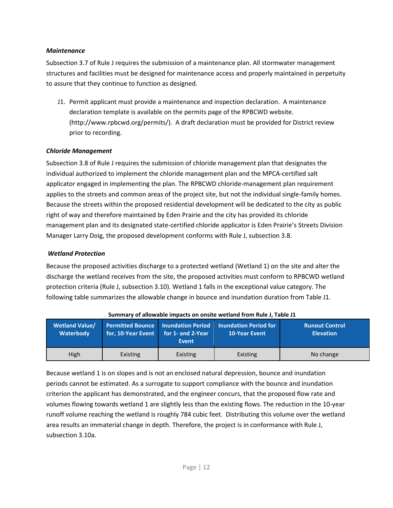### *Maintenance*

Subsection 3.7 of Rule J requires the submission of a maintenance plan. All stormwater management structures and facilities must be designed for maintenance access and properly maintained in perpetuity to assure that they continue to function as designed.

J1. Permit applicant must provide a maintenance and inspection declaration. A maintenance declaration template is available on the permits page of the RPBCWD website. (http://www.rpbcwd.org/permits/). A draft declaration must be provided for District review prior to recording.

# *Chloride Management*

Subsection 3.8 of Rule J requires the submission of chloride management plan that designates the individual authorized to implement the chloride management plan and the MPCA-certified salt applicator engaged in implementing the plan. The RPBCWD chloride-management plan requirement applies to the streets and common areas of the project site, but not the individual single-family homes. Because the streets within the proposed residential development will be dedicated to the city as public right of way and therefore maintained by Eden Prairie and the city has provided its chloride management plan and its designated state-certified chloride applicator is Eden Prairie's Streets Division Manager Larry Doig, the proposed development conforms with Rule J, subsection 3.8.

# *Wetland Protection*

Because the proposed activities discharge to a protected wetland (Wetland 1) on the site and alter the discharge the wetland receives from the site, the proposed activities must conform to RPBCWD wetland protection criteria (Rule J, subsection 3.10). Wetland 1 falls in the exceptional value category. The following table summarizes the allowable change in bounce and inundation duration from Table J1.

| <b>Wetland Value/</b> | for, 10-Year Event for 1- and 2-Year | <b>Permitted Bounce   Inundation Period</b> | <b>Inundation Period for</b> | <b>Runout Control</b> |
|-----------------------|--------------------------------------|---------------------------------------------|------------------------------|-----------------------|
| Waterbody             |                                      | Event                                       | <b>10-Year Event</b>         | <b>Elevation</b>      |
| High                  | Existing                             | Existing                                    | Existing                     | No change             |

**Summary of allowable impacts on onsite wetland from Rule J, Table J1**

Because wetland 1 is on slopes and is not an enclosed natural depression, bounce and inundation periods cannot be estimated. As a surrogate to support compliance with the bounce and inundation criterion the applicant has demonstrated, and the engineer concurs, that the proposed flow rate and volumes flowing towards wetland 1 are slightly less than the existing flows. The reduction in the 10-year runoff volume reaching the wetland is roughly 784 cubic feet. Distributing this volume over the wetland area results an immaterial change in depth. Therefore, the project is in conformance with Rule J, subsection 3.10a.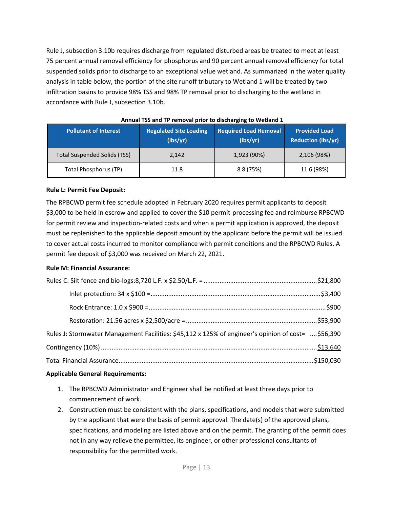Rule J, subsection 3.10b requires discharge from regulated disturbed areas be treated to meet at least 75 percent annual removal efficiency for phosphorus and 90 percent annual removal efficiency for total suspended solids prior to discharge to an exceptional value wetland. As summarized in the water quality analysis in table below, the portion of the site runoff tributary to Wetland 1 will be treated by two infiltration basins to provide 98% TSS and 98% TP removal prior to discharging to the wetland in accordance with Rule J, subsection 3.10b.

| <b>Pollutant of Interest</b>        | <b>Regulated Site Loading</b><br>(lbs/yr) | <b>Required Load Removal</b><br>(lbs/vr) | <b>Provided Load</b><br><b>Reduction (lbs/yr)</b> |
|-------------------------------------|-------------------------------------------|------------------------------------------|---------------------------------------------------|
| <b>Total Suspended Solids (TSS)</b> | 2,142                                     | 1,923 (90%)                              | 2,106 (98%)                                       |
| <b>Total Phosphorus (TP)</b>        | 11.8                                      | 8.8(75%)                                 | 11.6 (98%)                                        |

### **Rule L: Permit Fee Deposit:**

The RPBCWD permit fee schedule adopted in February 2020 requires permit applicants to deposit \$3,000 to be held in escrow and applied to cover the \$10 permit-processing fee and reimburse RPBCWD for permit review and inspection-related costs and when a permit application is approved, the deposit must be replenished to the applicable deposit amount by the applicant before the permit will be issued to cover actual costs incurred to monitor compliance with permit conditions and the RPBCWD Rules. A permit fee deposit of \$3,000 was received on March 22, 2021.

# **Rule M: Financial Assurance:**

| Rules J: Stormwater Management Facilities: \$45,112 x 125% of engineer's opinion of cost= \$56,390 |  |
|----------------------------------------------------------------------------------------------------|--|
|                                                                                                    |  |
|                                                                                                    |  |

# **Applicable General Requirements:**

- 1. The RPBCWD Administrator and Engineer shall be notified at least three days prior to commencement of work.
- 2. Construction must be consistent with the plans, specifications, and models that were submitted by the applicant that were the basis of permit approval. The date(s) of the approved plans, specifications, and modeling are listed above and on the permit. The granting of the permit does not in any way relieve the permittee, its engineer, or other professional consultants of responsibility for the permitted work.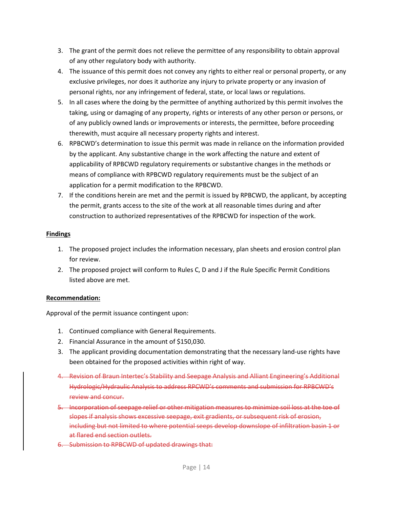- 3. The grant of the permit does not relieve the permittee of any responsibility to obtain approval of any other regulatory body with authority.
- 4. The issuance of this permit does not convey any rights to either real or personal property, or any exclusive privileges, nor does it authorize any injury to private property or any invasion of personal rights, nor any infringement of federal, state, or local laws or regulations.
- 5. In all cases where the doing by the permittee of anything authorized by this permit involves the taking, using or damaging of any property, rights or interests of any other person or persons, or of any publicly owned lands or improvements or interests, the permittee, before proceeding therewith, must acquire all necessary property rights and interest.
- 6. RPBCWD's determination to issue this permit was made in reliance on the information provided by the applicant. Any substantive change in the work affecting the nature and extent of applicability of RPBCWD regulatory requirements or substantive changes in the methods or means of compliance with RPBCWD regulatory requirements must be the subject of an application for a permit modification to the RPBCWD.
- 7. If the conditions herein are met and the permit is issued by RPBCWD, the applicant, by accepting the permit, grants access to the site of the work at all reasonable times during and after construction to authorized representatives of the RPBCWD for inspection of the work.

# **Findings**

- 1. The proposed project includes the information necessary, plan sheets and erosion control plan for review.
- 2. The proposed project will conform to Rules C, D and J if the Rule Specific Permit Conditions listed above are met.

# **Recommendation:**

Approval of the permit issuance contingent upon:

- 1. Continued compliance with General Requirements.
- 2. Financial Assurance in the amount of \$150,030.
- 3. The applicant providing documentation demonstrating that the necessary land-use rights have been obtained for the proposed activities within right of way.
- 4. Revision of Braun Intertec's Stability and Seepage Analysis and Alliant Engineering's Additional Hydrologic/Hydraulic Analysis to address RPCWD's comments and submission for RPBCWD's review and concur.
- 5. Incorporation of seepage relief or other mitigation measures to minimize soil loss at the toe of slopes if analysis shows excessive seepage, exit gradients, or subsequent risk of erosion, including but not limited to where potential seeps develop downslope of infiltration basin 1 or at flared end section outlets.
- 6. Submission to RPBCWD of updated drawings that: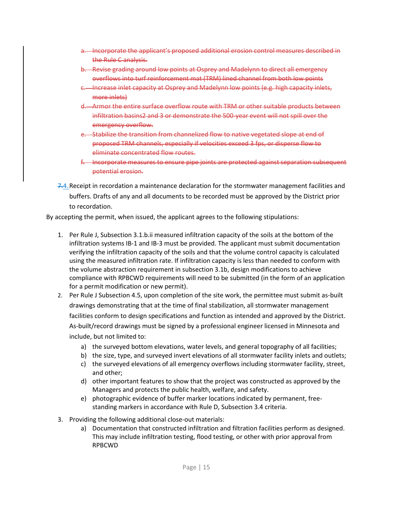- a. Incorporate the applicant's proposed additional erosion control measures described in the Rule C analysis.
- b. Revise grading around low points at Osprey and Madelynn to direct all emergency overflows into turf reinforcement mat (TRM) lined channel from both low points
- Increase inlet capacity at Osprey and Madelynn low points (e.g. high capacity inlets, more inlets)
- d. Armor the entire surface overflow route with TRM or other suitable products between infiltration basins2 and 3 or demonstrate the 500-year event will not spill over the emergency overflow.
- e. Stabilize the transition from channelized flow to native vegetated slope at end of proposed TRM channels, especially if velocities exceed 3 fps, or disperse flow to eliminate concentrated flow routes.
- f. Incorporate measures to ensure pipe joints are protected against separation subsequent potential erosion.
- 7.4.Receipt in recordation a maintenance declaration for the stormwater management facilities and buffers. Drafts of any and all documents to be recorded must be approved by the District prior to recordation.

By accepting the permit, when issued, the applicant agrees to the following stipulations:

- 1. Per Rule J, Subsection 3.1.b.ii measured infiltration capacity of the soils at the bottom of the infiltration systems IB-1 and IB-3 must be provided. The applicant must submit documentation verifying the infiltration capacity of the soils and that the volume control capacity is calculated using the measured infiltration rate. If infiltration capacity is less than needed to conform with the volume abstraction requirement in subsection 3.1b, design modifications to achieve compliance with RPBCWD requirements will need to be submitted (in the form of an application for a permit modification or new permit).
- 2. Per Rule J Subsection 4.5, upon completion of the site work, the permittee must submit as-built drawings demonstrating that at the time of final stabilization, all stormwater management facilities conform to design specifications and function as intended and approved by the District. As-built/record drawings must be signed by a professional engineer licensed in Minnesota and include, but not limited to:
	- a) the surveyed bottom elevations, water levels, and general topography of all facilities;
	- b) the size, type, and surveyed invert elevations of all stormwater facility inlets and outlets;
	- c) the surveyed elevations of all emergency overflows including stormwater facility, street, and other;
	- d) other important features to show that the project was constructed as approved by the Managers and protects the public health, welfare, and safety.
	- e) photographic evidence of buffer marker locations indicated by permanent, freestanding markers in accordance with Rule D, Subsection 3.4 criteria.
- 3. Providing the following additional close-out materials:
	- a) Documentation that constructed infiltration and filtration facilities perform as designed. This may include infiltration testing, flood testing, or other with prior approval from RPBCWD